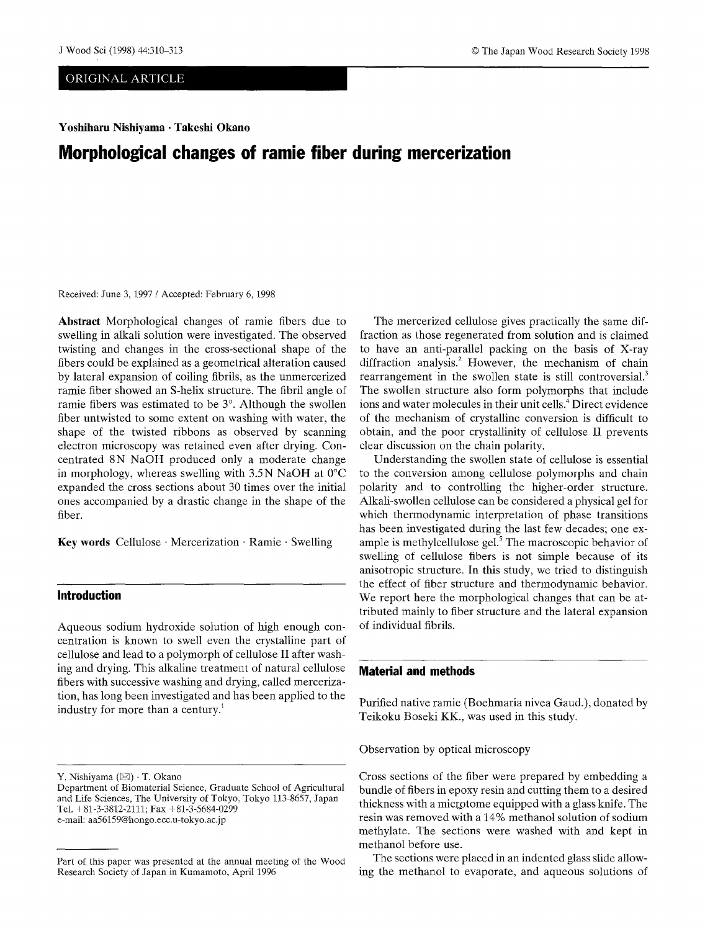### ORIGINAL ARTICLE

**Yoshiharu Nishiyama • Takeshi Okano** 

# **Morphological changes of ramie fiber during mercerization**

Received: June 3, 1997 / Accepted: February 6, 1998

**Abstract** Morphological changes of ramie fibers due to swelling in alkali solution were investigated. The observed twisting and changes in the cross-sectional shape of the fibers could be explained as a geometrical alteration caused by lateral expansion of coiling fibrils, as the unmercerized ramie fiber showed an S-helix structure. The fibril angle of ramie fibers was estimated to be  $3^\circ$ . Although the swollen fiber untwisted to some extent on washing with water, the shape of the twisted ribbons as observed by scanning electron microscopy was retained even after drying. Concentrated 8N NaOH produced only a moderate change in morphology, whereas swelling with  $3.5N$  NaOH at 0°C expanded the cross sections about 30 times over the initial ones accompanied by a drastic change in the shape of the fiber.

**Key words** Cellulose • Mercerization • Ramie • Swelling

# **Introduction**

Aqueous sodium hydroxide solution of high enough concentration is known to swell even the crystalline part of cellulose and lead to a polymorph of cellulose II after washing and drying. This alkaline treatment of natural cellulose fibers with successive washing and drying, called mercerization, has long been investigated and has been applied to the industry for more than a century.<sup>1</sup>

The mercerized cellulose gives practically the same diffraction as those regenerated from solution and is claimed to have an anti-parallel packing on the basis of X-ray diffraction analysis.<sup>2</sup> However, the mechanism of chain rearrangement in the swollen state is still controversial.<sup>3</sup> The swollen structure also form polymorphs that include ions and water molecules in their unit cells.<sup>4</sup> Direct evidence of the mechanism of crystalline conversion is difficult to obtain, and the poor crystallinity of cellulose II prevents clear discussion on the chain polarity.

Understanding the swollen state of cellulose is essential to the conversion among cellulose polymorphs and chain polarity and to controlling the higher-order structure. Alkali-swollen cellulose can be considered a physical gel for which thermodynamic interpretation of phase transitions has been investigated during the last few decades; one example is methylcellulose gel. $5$  The macroscopic behavior of swelling of cellulose fibers is not simple because of its anisotropic structure. In this study, we tried to distinguish the effect of fiber structure and thermodynamic behavior. We report here the morphological changes that can be attributed mainly to fiber structure and the lateral expansion of individual fibrils.

# **Material and methods**

Purified native ramie (Boehmaria nivea Gaud.), donated by Teikoku Boseki KK., was used in this study.

Observation by optical microscopy

Cross sections of the fiber were prepared by embedding a bundle of fibers in epoxy resin and cutting them to a desired thickness with a microtome equipped with a glass knife. The resin was removed with a 14% methanol solution of sodium methylate. The sections were washed with and kept in methanol before use.

The sections were placed in an indented glass slide allowing the methanol to evaporate, and aqueous solutions of

Y. Nishiyama  $(\boxtimes) \cdot$  T. Okano

Department of Biomaterial Science, Graduate School of Agricultural and Life Sciences, The University of Tokyo, Tokyo 113-8657, Japan Tel. +81-3-3812-2111; Fax +81-3-5684-0299 e-mail: aa56159@hongo.ecc.u-tokyo.ac.jp

Part of this paper was presented at the annual meeting of the Wood Research Society of Japan in Kumamoto, April 1996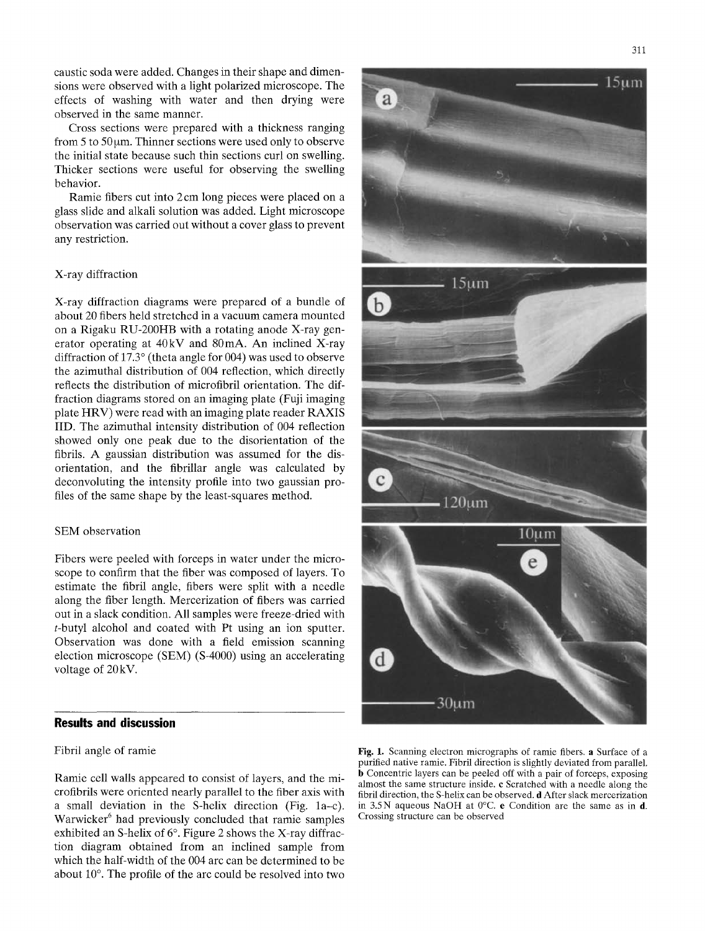caustic soda were adde& Changes in their shape and dimensions were observed with a light polarized microscope. The effects of washing with water and then drying were observed in the same manner.

Cross sections were prepared with a thickness ranging from  $5$  to  $50 \mu m$ . Thinner sections were used only to observe the initial state because such thin sections curl on swelling. Thicker sections were useful for observing the swelling behavior.

Ramie fibers cut into 2 cm long pieces were placed on a glass slide and alkali solution was added. Light microscope observation was carried out without a cover glass to prevent any restriction.

### X-ray diffraction

X-ray diffraction diagrams were prepared of a bundle of about 20 fibers held stretched in a vacuum camera mounted on a Rigaku RU-200HB with a rotating anode X-ray generator operating at 40kV and 80mA. An inclined X-ray diffraction of  $17.3^\circ$  (theta angle for 004) was used to observe the azimuthal distribution of 004 reflection, which directly reflects the distribution of microfibril orientation. The diffraction diagrams stored on an imaging plate (Fuji imaging plate HRV) were read with an imaging plate reader RAXIS IID. The azimuthal intensity distribution of 004 reflection showed only one peak due to the disorientation of the fibrils. A gaussian distribution was assumed for the disorientation, and the fibrillar angle was calculated by deconvoluting the intensity profile into two gaussian profiles of the same shape by the least-squares method.

## SEM observation

Fibers were peeled with forceps in water under the microscope to confirm that the fiber was composed of layers. To estimate the fibril angle, fibers were split with a needle along the fiber length. Mercerization of fibers was carried out in a slack condition. **All** samples were freeze-dried with t-butyl alcohol and coated with Pt using an ion sputter. Observation was done with a field emission scanning election microscope (SEM) (S-4000) using an accelerating voltage of 20kV.

# **Results and discussion**

## Fibril angle of ramie

Ramie cell walls appeared to consist of layers, and the micro fibrils were oriented nearly parallel to the fiber axis with a small deviation in the S-helix direction (Fig. 1a-c). Warwicker<sup>6</sup> had previously concluded that ramie samples exhibited an S-helix of  $6^\circ$ . Figure 2 shows the X-ray diffraction diagram obtained from an inclined sample from which the half-width of the 004 arc can be determined to be about  $10^\circ$ . The profile of the arc could be resolved into two



Fig. 1. Scanning electron micrographs of ramie fibers, a Surface of a purified native ramie. Fibril direction is slightly deviated from parallel. h Concentric layers can be peeled off with a pair of forceps, exposing almost the same structure inside, c Scratched with a needle along the fibril direction, the S-helix can be observed, d After slack mercerization in 3.5N aqueous NaOH at 0°C. e Condition are the same as in d. Crossing structure can be observed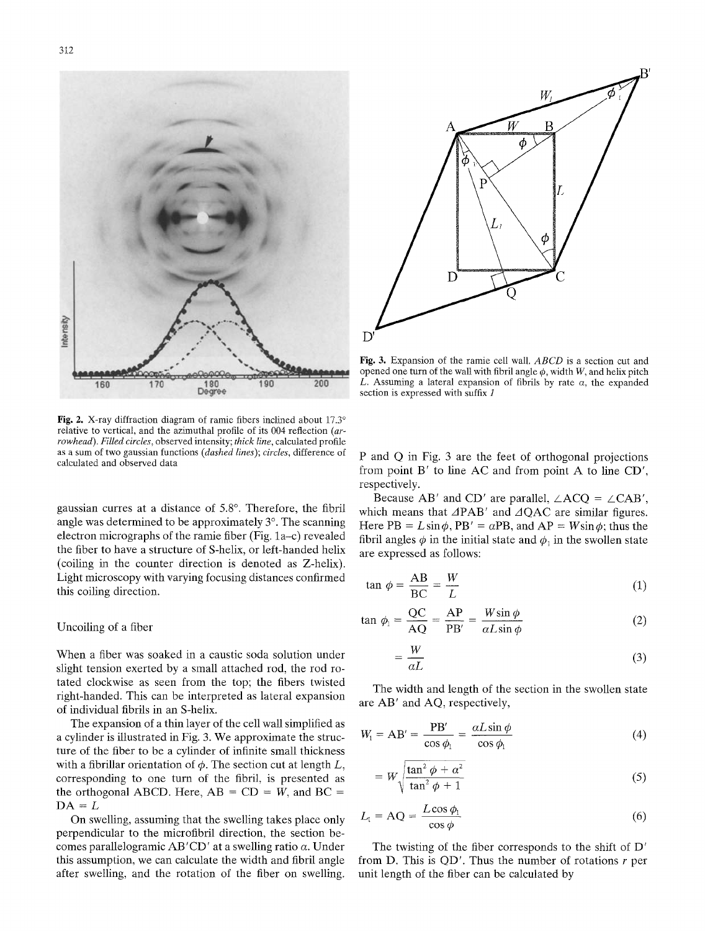

**Fig. 2.** X-ray diffraction diagram of ramie fibers inclined about 17.3<sup>o</sup> relative to vertical, and the azimuthal profile of its 004 reflection *(arrowhead). Filled circles,* observed intensity; *thick line,* calculated profile as a sum of two gaussian functions *(dashed lines); circles,* difference of calculated and observed data

gaussian curres at a distance of 5.8°. Therefore, the fibril angle was determined to be approximately  $3^\circ$ . The scanning electron micrographs of the ramie fiber (Fig. 1a-c) revealed the fiber to have a structure of S-helix, or left-handed helix (coiling in the counter direction is denoted as Z-helix). Light microscopy with varying focusing distances confirmed this coiling direction.

### Uncoiling of a fiber

When a fiber was soaked in a caustic soda solution under slight tension exerted by a small attached rod, the rod rotated clockwise as seen from the top; the fibers twisted right-handed. This can be interpreted as lateral expansion of individual fibrils in an S-helix.

The expansion of a thin layer of the cell wall simplified as a cylinder is illustrated in Fig. 3. We approximate the structure of the fiber to be a cylinder of infinite small thickness with a fibrillar orientation of  $\phi$ . The section cut at length  $L$ , corresponding to one turn of the fibril, is presented as the orthogonal ABCD. Here,  $AB = CD = W$ , and  $BC =$  $DA = L$ 

On swelling, assuming that the swelling takes place only perpendicular to the microfibril direction, the section becomes parallelogramic AB'CD' at a swelling ratio  $\alpha$ . Under this assumption, we can calculate the width and fibril angle after swelling, and the rotation of the fiber on swelling.



Fig. 3. Expansion of the ramie cell wall. *ABCD* is a section cut and opened one turn of the wall with fibril angle  $\phi$ , width W, and helix pitch L. Assuming a lateral expansion of fibrils by rate  $\alpha$ , the expanded section is expressed with suffix 1

P and Q in Fig. 3 are the feet of orthogonal projections from point B' to line AC and from point A to line CD', respectively.

Because AB' and CD' are parallel,  $\angle A CQ = \angle CAB'$ , which means that  $\triangle PAB'$  and  $\triangle OAC$  are similar figures. Here PB =  $L \sin \phi$ , PB' =  $\alpha$ PB, and AP =  $W \sin \phi$ ; thus the fibril angles  $\phi$  in the initial state and  $\phi_1$  in the swollen state are expressed as follows:

$$
\tan \phi = \frac{AB}{BC} = \frac{W}{L} \tag{1}
$$

$$
\tan \phi_1 = \frac{QC}{AQ} = \frac{AP}{PB'} = \frac{W\sin\phi}{\alpha L\sin\phi} \tag{2}
$$

$$
=\frac{W}{\alpha L}\tag{3}
$$

The width and length of the section in the swollen state are AB' and AQ, respectively,

$$
W_1 = AB' = \frac{PB'}{\cos \phi_1} = \frac{\alpha L \sin \phi}{\cos \phi_1} \tag{4}
$$

$$
= W \sqrt{\frac{\tan^2 \phi + \alpha^2}{\tan^2 \phi + 1}}
$$
 (5)

$$
L_1 = \text{AQ} = \frac{L\cos\phi_1}{\cos\phi} \tag{6}
$$

The twisting of the fiber corresponds to the shift of D' from D. This is  $QD'$ . Thus the number of rotations r per unit length of the fiber can be calculated by